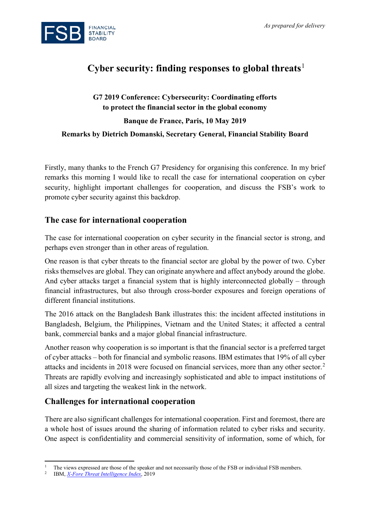

# **Cyber security: finding responses to global threats**[1](#page-0-0)

## **G7 2019 Conference: Cybersecurity: Coordinating efforts to protect the financial sector in the global economy Banque de France, Paris, 10 May 2019**

#### **Remarks by Dietrich Domanski, Secretary General, Financial Stability Board**

Firstly, many thanks to the French G7 Presidency for organising this conference. In my brief remarks this morning I would like to recall the case for international cooperation on cyber security, highlight important challenges for cooperation, and discuss the FSB's work to promote cyber security against this backdrop.

#### **The case for international cooperation**

The case for international cooperation on cyber security in the financial sector is strong, and perhaps even stronger than in other areas of regulation.

One reason is that cyber threats to the financial sector are global by the power of two. Cyber risks themselves are global. They can originate anywhere and affect anybody around the globe. And cyber attacks target a financial system that is highly interconnected globally – through financial infrastructures, but also through cross-border exposures and foreign operations of different financial institutions.

The 2016 attack on the Bangladesh Bank illustrates this: the incident affected institutions in Bangladesh, Belgium, the Philippines, Vietnam and the United States; it affected a central bank, commercial banks and a major global financial infrastructure.

Another reason why cooperation is so important is that the financial sector is a preferred target of cyber attacks – both for financial and symbolic reasons. IBM estimates that 19% of all cyber attacks and incidents in 2018 were focused on financial services, more than any other sector.[2](#page-0-1) Threats are rapidly evolving and increasingly sophisticated and able to impact institutions of all sizes and targeting the weakest link in the network.

### **Challenges for international cooperation**

There are also significant challenges for international cooperation. First and foremost, there are a whole host of issues around the sharing of information related to cyber risks and security. One aspect is confidentiality and commercial sensitivity of information, some of which, for

<span id="page-0-0"></span> $\overline{a}$ <sup>1</sup> The views expressed are those of the speaker and not necessarily those of the FSB or individual FSB members.

<span id="page-0-1"></span><sup>2</sup> IBM, *[X-Fore Threat Intelligence Index](https://www.ibm.com/downloads/cas/ZGB3ERYD)*, 2019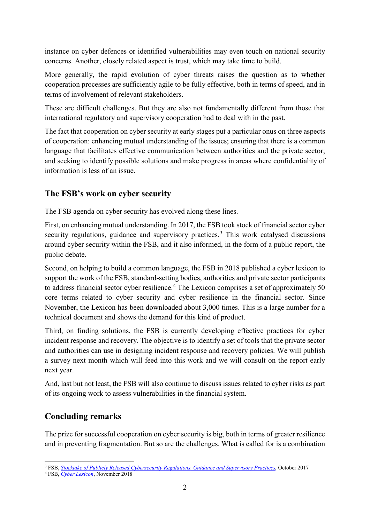instance on cyber defences or identified vulnerabilities may even touch on national security concerns. Another, closely related aspect is trust, which may take time to build.

More generally, the rapid evolution of cyber threats raises the question as to whether cooperation processes are sufficiently agile to be fully effective, both in terms of speed, and in terms of involvement of relevant stakeholders.

These are difficult challenges. But they are also not fundamentally different from those that international regulatory and supervisory cooperation had to deal with in the past.

The fact that cooperation on cyber security at early stages put a particular onus on three aspects of cooperation: enhancing mutual understanding of the issues; ensuring that there is a common language that facilitates effective communication between authorities and the private sector; and seeking to identify possible solutions and make progress in areas where confidentiality of information is less of an issue.

## **The FSB's work on cyber security**

The FSB agenda on cyber security has evolved along these lines.

First, on enhancing mutual understanding. In 2017, the FSB took stock of financial sector cyber security regulations, guidance and supervisory practices.<sup>[3](#page-1-0)</sup> This work catalysed discussions around cyber security within the FSB, and it also informed, in the form of a public report, the public debate.

Second, on helping to build a common language, the FSB in 2018 published a cyber lexicon to support the work of the FSB, standard-setting bodies, authorities and private sector participants to address financial sector cyber resilience.<sup>[4](#page-1-1)</sup> The Lexicon comprises a set of approximately 50 core terms related to cyber security and cyber resilience in the financial sector. Since November, the Lexicon has been downloaded about 3,000 times. This is a large number for a technical document and shows the demand for this kind of product.

Third, on finding solutions, the FSB is currently developing effective practices for cyber incident response and recovery. The objective is to identify a set of tools that the private sector and authorities can use in designing incident response and recovery policies. We will publish a survey next month which will feed into this work and we will consult on the report early next year.

And, last but not least, the FSB will also continue to discuss issues related to cyber risks as part of its ongoing work to assess vulnerabilities in the financial system.

## **Concluding remarks**

The prize for successful cooperation on cyber security is big, both in terms of greater resilience and in preventing fragmentation. But so are the challenges. What is called for is a combination

 $\overline{a}$ <sup>3</sup> FSB, *[Stocktake of Publicly Released Cybersecurity Regulations, Guidance and Supervisory Practices,](http://www.fsb.org/2017/10/summary-report-on-financial-sector-cybersecurity-regulations-guidance-and-supervisory-practices/)* October 2017

<span id="page-1-1"></span><span id="page-1-0"></span><sup>4</sup> FSB, *[Cyber Lexicon](http://www.fsb.org/2018/11/cyber-lexicon/)*, November 2018